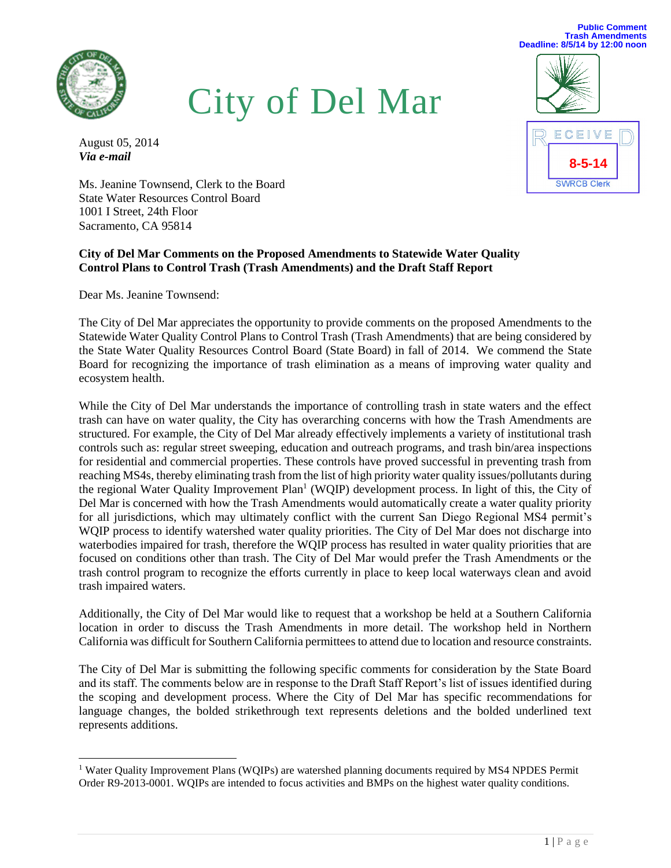

City of Del Mar

August 05, 2014 *Via e-mail*

Ms. Jeanine Townsend, Clerk to the Board State Water Resources Control Board 1001 I Street, 24th Floor Sacramento, CA 95814

### **City of Del Mar Comments on the Proposed Amendments to Statewide Water Quality Control Plans to Control Trash (Trash Amendments) and the Draft Staff Report**

Dear Ms. Jeanine Townsend:

The City of Del Mar appreciates the opportunity to provide comments on the proposed Amendments to the Statewide Water Quality Control Plans to Control Trash (Trash Amendments) that are being considered by the State Water Quality Resources Control Board (State Board) in fall of 2014. We commend the State Board for recognizing the importance of trash elimination as a means of improving water quality and ecosystem health.

While the City of Del Mar understands the importance of controlling trash in state waters and the effect trash can have on water quality, the City has overarching concerns with how the Trash Amendments are structured. For example, the City of Del Mar already effectively implements a variety of institutional trash controls such as: regular street sweeping, education and outreach programs, and trash bin/area inspections for residential and commercial properties. These controls have proved successful in preventing trash from reaching MS4s, thereby eliminating trash from the list of high priority water quality issues/pollutants during the regional Water Quality Improvement Plan<sup>1</sup> (WQIP) development process. In light of this, the City of Del Mar is concerned with how the Trash Amendments would automatically create a water quality priority for all jurisdictions, which may ultimately conflict with the current San Diego Regional MS4 permit's WQIP process to identify watershed water quality priorities. The City of Del Mar does not discharge into waterbodies impaired for trash, therefore the WQIP process has resulted in water quality priorities that are focused on conditions other than trash. The City of Del Mar would prefer the Trash Amendments or the trash control program to recognize the efforts currently in place to keep local waterways clean and avoid trash impaired waters.

Additionally, the City of Del Mar would like to request that a workshop be held at a Southern California location in order to discuss the Trash Amendments in more detail. The workshop held in Northern California was difficult for Southern California permittees to attend due to location and resource constraints.

The City of Del Mar is submitting the following specific comments for consideration by the State Board and its staff. The comments below are in response to the Draft Staff Report's list of issues identified during the scoping and development process. Where the City of Del Mar has specific recommendations for language changes, the bolded strikethrough text represents deletions and the bolded underlined text represents additions.



**Public Comment**

<sup>&</sup>lt;sup>1</sup> Water Quality Improvement Plans (WQIPs) are watershed planning documents required by MS4 NPDES Permit Order R9-2013-0001. WQIPs are intended to focus activities and BMPs on the highest water quality conditions.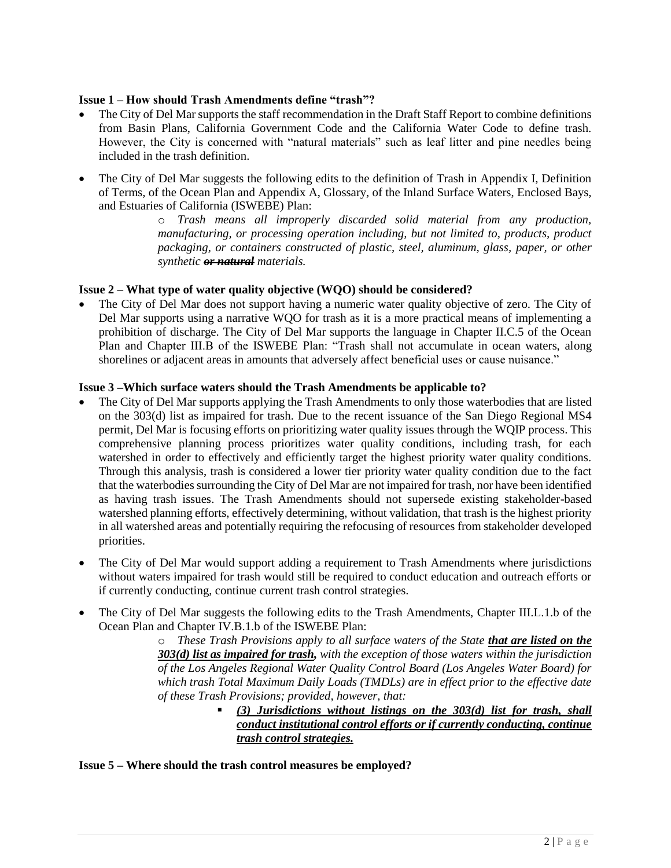## **Issue 1 – How should Trash Amendments define "trash"?**

- The City of Del Mar supports the staff recommendation in the Draft Staff Report to combine definitions from Basin Plans, California Government Code and the California Water Code to define trash. However, the City is concerned with "natural materials" such as leaf litter and pine needles being included in the trash definition.
- The City of Del Mar suggests the following edits to the definition of Trash in Appendix I, Definition of Terms, of the Ocean Plan and Appendix A, Glossary, of the Inland Surface Waters, Enclosed Bays, and Estuaries of California (ISWEBE) Plan:

o *Trash means all improperly discarded solid material from any production, manufacturing, or processing operation including, but not limited to, products, product packaging, or containers constructed of plastic, steel, aluminum, glass, paper, or other synthetic or natural materials.*

# **Issue 2 – What type of water quality objective (WQO) should be considered?**

 The City of Del Mar does not support having a numeric water quality objective of zero. The City of Del Mar supports using a narrative WQO for trash as it is a more practical means of implementing a prohibition of discharge. The City of Del Mar supports the language in Chapter II.C.5 of the Ocean Plan and Chapter III.B of the ISWEBE Plan: "Trash shall not accumulate in ocean waters, along shorelines or adjacent areas in amounts that adversely affect beneficial uses or cause nuisance."

#### **Issue 3 –Which surface waters should the Trash Amendments be applicable to?**

- The City of Del Mar supports applying the Trash Amendments to only those waterbodies that are listed on the 303(d) list as impaired for trash. Due to the recent issuance of the San Diego Regional MS4 permit, Del Mar is focusing efforts on prioritizing water quality issues through the WQIP process. This comprehensive planning process prioritizes water quality conditions, including trash, for each watershed in order to effectively and efficiently target the highest priority water quality conditions. Through this analysis, trash is considered a lower tier priority water quality condition due to the fact that the waterbodies surrounding the City of Del Mar are not impaired for trash, nor have been identified as having trash issues. The Trash Amendments should not supersede existing stakeholder-based watershed planning efforts, effectively determining, without validation, that trash is the highest priority in all watershed areas and potentially requiring the refocusing of resources from stakeholder developed priorities.  $\mathbf{1}$
- The City of Del Mar would support adding a requirement to Trash Amendments where jurisdictions without waters impaired for trash would still be required to conduct education and outreach efforts or if currently conducting, continue current trash control strategies.
- The City of Del Mar suggests the following edits to the Trash Amendments, Chapter III.L.1.b of the Ocean Plan and Chapter IV.B.1.b of the ISWEBE Plan:

o *These Trash Provisions apply to all surface waters of the State that are listed on the 303(d) list as impaired for trash, with the exception of those waters within the jurisdiction of the Los Angeles Regional Water Quality Control Board (Los Angeles Water Board) for which trash Total Maximum Daily Loads (TMDLs) are in effect prior to the effective date of these Trash Provisions; provided, however, that:* 

 *(3) Jurisdictions without listings on the 303(d) list for trash, shall conduct institutional control efforts or if currently conducting, continue trash control strategies.*

**Issue 5 – Where should the trash control measures be employed?**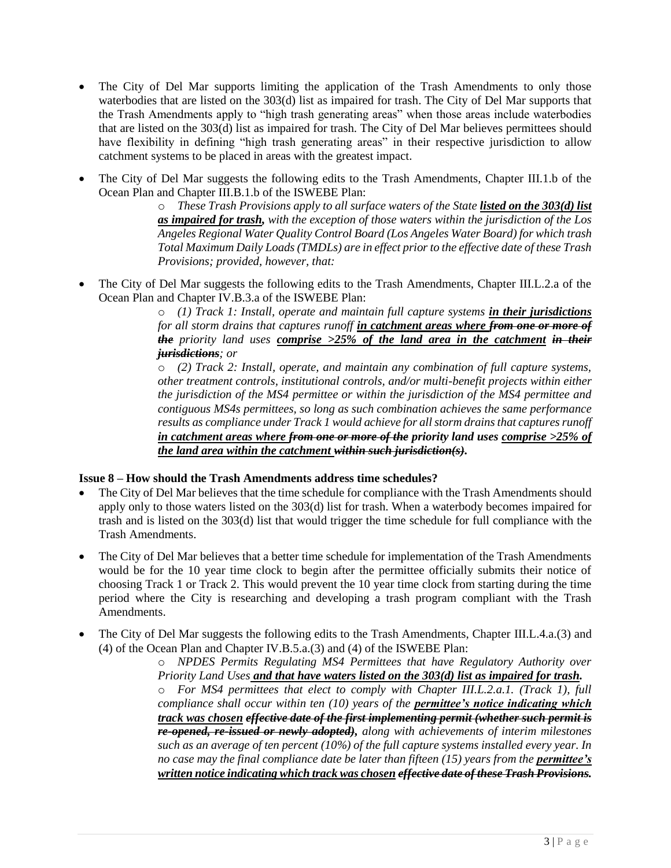- The City of Del Mar supports limiting the application of the Trash Amendments to only those waterbodies that are listed on the 303(d) list as impaired for trash. The City of Del Mar supports that the Trash Amendments apply to "high trash generating areas" when those areas include waterbodies that are listed on the 303(d) list as impaired for trash. The City of Del Mar believes permittees should have flexibility in defining "high trash generating areas" in their respective jurisdiction to allow catchment systems to be placed in areas with the greatest impact.
- The City of Del Mar suggests the following edits to the Trash Amendments, Chapter III.1.b of the Ocean Plan and Chapter III.B.1.b of the ISWEBE Plan:

o *These Trash Provisions apply to all surface waters of the State listed on the 303(d) list as impaired for trash, with the exception of those waters within the jurisdiction of the Los Angeles Regional Water Quality Control Board (Los Angeles Water Board) for which trash Total Maximum Daily Loads (TMDLs) are in effect prior to the effective date of these Trash Provisions; provided, however, that:*

 The City of Del Mar suggests the following edits to the Trash Amendments, Chapter III.L.2.a of the Ocean Plan and Chapter IV.B.3.a of the ISWEBE Plan:

o *(1) Track 1: Install, operate and maintain full capture systems in their jurisdictions for all storm drains that captures runoff in catchment areas where from one or more of the priority land uses comprise >25% of the land area in the catchment in their jurisdictions; or*

o *(2) Track 2: Install, operate, and maintain any combination of full capture systems, other treatment controls, institutional controls, and/or multi-benefit projects within either the jurisdiction of the MS4 permittee or within the jurisdiction of the MS4 permittee and contiguous MS4s permittees, so long as such combination achieves the same performance results as compliance under Track 1 would achieve for all storm drains that captures runoff in catchment areas where from one or more of the priority land uses comprise >25% of the land area within the catchment within such jurisdiction(s).*

#### **Issue 8 – How should the Trash Amendments address time schedules?**

- The City of Del Mar believes that the time schedule for compliance with the Trash Amendments should apply only to those waters listed on the 303(d) list for trash. When a waterbody becomes impaired for trash and is listed on the 303(d) list that would trigger the time schedule for full compliance with the Trash Amendments.
- The City of Del Mar believes that a better time schedule for implementation of the Trash Amendments would be for the 10 year time clock to begin after the permittee officially submits their notice of choosing Track 1 or Track 2. This would prevent the 10 year time clock from starting during the time period where the City is researching and developing a trash program compliant with the Trash Amendments.
- The City of Del Mar suggests the following edits to the Trash Amendments, Chapter III.L.4.a.(3) and (4) of the Ocean Plan and Chapter IV.B.5.a.(3) and (4) of the ISWEBE Plan:

o *NPDES Permits Regulating MS4 Permittees that have Regulatory Authority over Priority Land Uses and that have waters listed on the 303(d) list as impaired for trash.* o *For MS4 permittees that elect to comply with Chapter III.L.2.a.1. (Track 1), full compliance shall occur within ten (10) years of the permittee's notice indicating which track was chosen effective date of the first implementing permit (whether such permit is re-opened, re-issued or newly adopted), along with achievements of interim milestones such as an average of ten percent (10%) of the full capture systems installed every year. In no case may the final compliance date be later than fifteen (15) years from the <i>permittee's written notice indicating which track was chosen effective date of these Trash Provisions.*